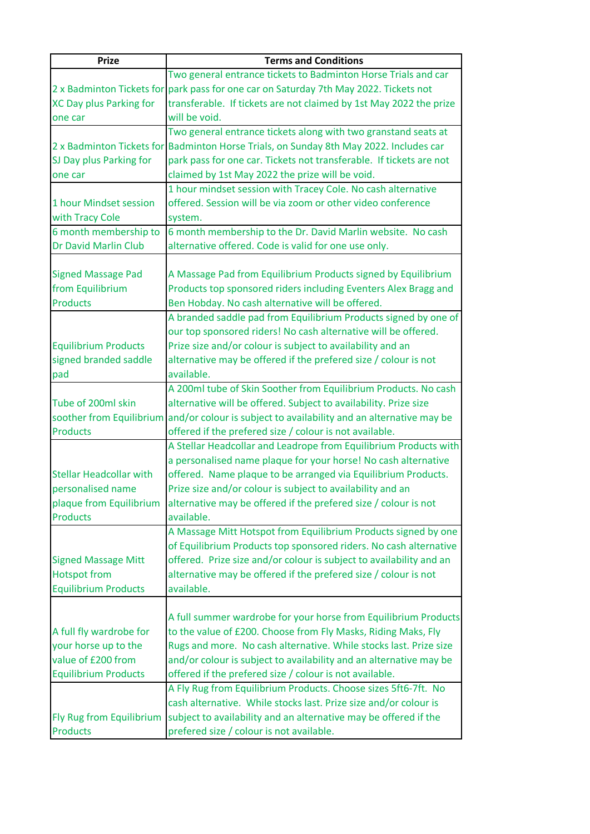| <b>Prize</b>                               | <b>Terms and Conditions</b>                                                                 |
|--------------------------------------------|---------------------------------------------------------------------------------------------|
|                                            | Two general entrance tickets to Badminton Horse Trials and car                              |
|                                            | 2 x Badminton Tickets for park pass for one car on Saturday 7th May 2022. Tickets not       |
| XC Day plus Parking for                    | transferable. If tickets are not claimed by 1st May 2022 the prize                          |
| one car                                    | will be void.                                                                               |
|                                            | Two general entrance tickets along with two granstand seats at                              |
|                                            | 2 x Badminton Tickets for Badminton Horse Trials, on Sunday 8th May 2022. Includes car      |
| SJ Day plus Parking for                    | park pass for one car. Tickets not transferable. If tickets are not                         |
| one car                                    | claimed by 1st May 2022 the prize will be void.                                             |
|                                            | 1 hour mindset session with Tracey Cole. No cash alternative                                |
| 1 hour Mindset session                     | offered. Session will be via zoom or other video conference                                 |
| with Tracy Cole                            | system.                                                                                     |
| 6 month membership to                      | 6 month membership to the Dr. David Marlin website. No cash                                 |
| <b>Dr David Marlin Club</b>                | alternative offered. Code is valid for one use only.                                        |
|                                            |                                                                                             |
| <b>Signed Massage Pad</b>                  | A Massage Pad from Equilibrium Products signed by Equilibrium                               |
| from Equilibrium                           | Products top sponsored riders including Eventers Alex Bragg and                             |
| <b>Products</b>                            | Ben Hobday. No cash alternative will be offered.                                            |
|                                            | A branded saddle pad from Equilibrium Products signed by one of                             |
|                                            | our top sponsored riders! No cash alternative will be offered.                              |
| <b>Equilibrium Products</b>                | Prize size and/or colour is subject to availability and an                                  |
| signed branded saddle                      | alternative may be offered if the prefered size / colour is not                             |
| pad                                        | available.                                                                                  |
|                                            | A 200ml tube of Skin Soother from Equilibrium Products. No cash                             |
| Tube of 200ml skin                         | alternative will be offered. Subject to availability. Prize size                            |
|                                            | soother from Equilibrium and/or colour is subject to availability and an alternative may be |
| <b>Products</b>                            | offered if the prefered size / colour is not available.                                     |
|                                            | A Stellar Headcollar and Leadrope from Equilibrium Products with                            |
|                                            | a personalised name plaque for your horse! No cash alternative                              |
| <b>Stellar Headcollar with</b>             | offered. Name plaque to be arranged via Equilibrium Products.                               |
| personalised name                          | Prize size and/or colour is subject to availability and an                                  |
|                                            |                                                                                             |
| plaque from Equilibrium<br><b>Products</b> | alternative may be offered if the prefered size / colour is not                             |
|                                            | available.                                                                                  |
|                                            | A Massage Mitt Hotspot from Equilibrium Products signed by one                              |
|                                            | of Equilibrium Products top sponsored riders. No cash alternative                           |
| <b>Signed Massage Mitt</b>                 | offered. Prize size and/or colour is subject to availability and an                         |
| <b>Hotspot from</b>                        | alternative may be offered if the prefered size / colour is not                             |
| <b>Equilibrium Products</b>                | available.                                                                                  |
|                                            |                                                                                             |
|                                            | A full summer wardrobe for your horse from Equilibrium Products                             |
| A full fly wardrobe for                    | to the value of £200. Choose from Fly Masks, Riding Maks, Fly                               |
| your horse up to the                       | Rugs and more. No cash alternative. While stocks last. Prize size                           |
| value of £200 from                         | and/or colour is subject to availability and an alternative may be                          |
| <b>Equilibrium Products</b>                | offered if the prefered size / colour is not available.                                     |
|                                            | A Fly Rug from Equilibrium Products. Choose sizes 5ft6-7ft. No                              |
|                                            | cash alternative. While stocks last. Prize size and/or colour is                            |
| Fly Rug from Equilibrium                   | subject to availability and an alternative may be offered if the                            |
| <b>Products</b>                            | prefered size / colour is not available.                                                    |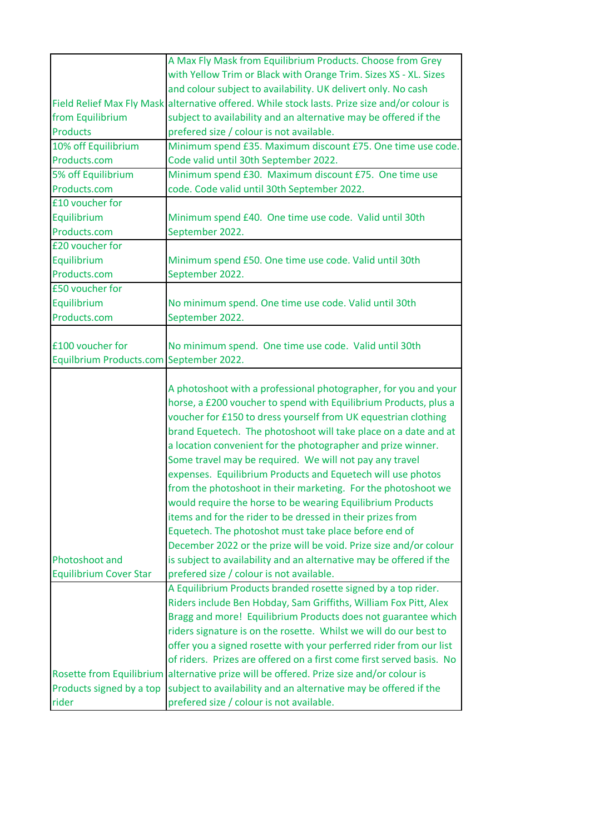|                                                 | A Max Fly Mask from Equilibrium Products. Choose from Grey                                                                                                                                                                                                                                                                                                                                                                                                                                                                                                                                                                                                                                                                                                                                                                                                                                                       |
|-------------------------------------------------|------------------------------------------------------------------------------------------------------------------------------------------------------------------------------------------------------------------------------------------------------------------------------------------------------------------------------------------------------------------------------------------------------------------------------------------------------------------------------------------------------------------------------------------------------------------------------------------------------------------------------------------------------------------------------------------------------------------------------------------------------------------------------------------------------------------------------------------------------------------------------------------------------------------|
|                                                 | with Yellow Trim or Black with Orange Trim. Sizes XS - XL. Sizes                                                                                                                                                                                                                                                                                                                                                                                                                                                                                                                                                                                                                                                                                                                                                                                                                                                 |
|                                                 | and colour subject to availability. UK delivert only. No cash                                                                                                                                                                                                                                                                                                                                                                                                                                                                                                                                                                                                                                                                                                                                                                                                                                                    |
|                                                 | Field Relief Max Fly Mask alternative offered. While stock lasts. Prize size and/or colour is                                                                                                                                                                                                                                                                                                                                                                                                                                                                                                                                                                                                                                                                                                                                                                                                                    |
| from Equilibrium                                | subject to availability and an alternative may be offered if the                                                                                                                                                                                                                                                                                                                                                                                                                                                                                                                                                                                                                                                                                                                                                                                                                                                 |
| <b>Products</b>                                 | prefered size / colour is not available.                                                                                                                                                                                                                                                                                                                                                                                                                                                                                                                                                                                                                                                                                                                                                                                                                                                                         |
| 10% off Equilibrium                             | Minimum spend £35. Maximum discount £75. One time use code.                                                                                                                                                                                                                                                                                                                                                                                                                                                                                                                                                                                                                                                                                                                                                                                                                                                      |
| Products.com                                    | Code valid until 30th September 2022.                                                                                                                                                                                                                                                                                                                                                                                                                                                                                                                                                                                                                                                                                                                                                                                                                                                                            |
| 5% off Equilibrium                              | Minimum spend £30. Maximum discount £75. One time use                                                                                                                                                                                                                                                                                                                                                                                                                                                                                                                                                                                                                                                                                                                                                                                                                                                            |
| Products.com                                    | code. Code valid until 30th September 2022.                                                                                                                                                                                                                                                                                                                                                                                                                                                                                                                                                                                                                                                                                                                                                                                                                                                                      |
| £10 voucher for                                 |                                                                                                                                                                                                                                                                                                                                                                                                                                                                                                                                                                                                                                                                                                                                                                                                                                                                                                                  |
| Equilibrium                                     | Minimum spend £40. One time use code. Valid until 30th                                                                                                                                                                                                                                                                                                                                                                                                                                                                                                                                                                                                                                                                                                                                                                                                                                                           |
| Products.com                                    | September 2022.                                                                                                                                                                                                                                                                                                                                                                                                                                                                                                                                                                                                                                                                                                                                                                                                                                                                                                  |
| £20 voucher for                                 |                                                                                                                                                                                                                                                                                                                                                                                                                                                                                                                                                                                                                                                                                                                                                                                                                                                                                                                  |
| Equilibrium                                     | Minimum spend £50. One time use code. Valid until 30th                                                                                                                                                                                                                                                                                                                                                                                                                                                                                                                                                                                                                                                                                                                                                                                                                                                           |
| Products.com                                    | September 2022.                                                                                                                                                                                                                                                                                                                                                                                                                                                                                                                                                                                                                                                                                                                                                                                                                                                                                                  |
| £50 voucher for                                 |                                                                                                                                                                                                                                                                                                                                                                                                                                                                                                                                                                                                                                                                                                                                                                                                                                                                                                                  |
| Equilibrium                                     | No minimum spend. One time use code. Valid until 30th                                                                                                                                                                                                                                                                                                                                                                                                                                                                                                                                                                                                                                                                                                                                                                                                                                                            |
| Products.com                                    | September 2022.                                                                                                                                                                                                                                                                                                                                                                                                                                                                                                                                                                                                                                                                                                                                                                                                                                                                                                  |
|                                                 |                                                                                                                                                                                                                                                                                                                                                                                                                                                                                                                                                                                                                                                                                                                                                                                                                                                                                                                  |
| £100 voucher for                                | No minimum spend. One time use code. Valid until 30th                                                                                                                                                                                                                                                                                                                                                                                                                                                                                                                                                                                                                                                                                                                                                                                                                                                            |
| Equilbrium Products.com September 2022.         |                                                                                                                                                                                                                                                                                                                                                                                                                                                                                                                                                                                                                                                                                                                                                                                                                                                                                                                  |
|                                                 |                                                                                                                                                                                                                                                                                                                                                                                                                                                                                                                                                                                                                                                                                                                                                                                                                                                                                                                  |
| Photoshoot and<br><b>Equilibrium Cover Star</b> | A photoshoot with a professional photographer, for you and your<br>horse, a £200 voucher to spend with Equilibrium Products, plus a<br>voucher for £150 to dress yourself from UK equestrian clothing<br>brand Equetech. The photoshoot will take place on a date and at<br>a location convenient for the photographer and prize winner.<br>Some travel may be required. We will not pay any travel<br>expenses. Equilibrium Products and Equetech will use photos<br>from the photoshoot in their marketing. For the photoshoot we<br>would require the horse to be wearing Equilibrium Products<br>items and for the rider to be dressed in their prizes from<br>Equetech. The photoshot must take place before end of<br>December 2022 or the prize will be void. Prize size and/or colour<br>is subject to availability and an alternative may be offered if the<br>prefered size / colour is not available. |
|                                                 | A Equilibrium Products branded rosette signed by a top rider.                                                                                                                                                                                                                                                                                                                                                                                                                                                                                                                                                                                                                                                                                                                                                                                                                                                    |
|                                                 | Riders include Ben Hobday, Sam Griffiths, William Fox Pitt, Alex<br>Bragg and more! Equilibrium Products does not guarantee which                                                                                                                                                                                                                                                                                                                                                                                                                                                                                                                                                                                                                                                                                                                                                                                |
|                                                 | riders signature is on the rosette. Whilst we will do our best to                                                                                                                                                                                                                                                                                                                                                                                                                                                                                                                                                                                                                                                                                                                                                                                                                                                |
|                                                 | offer you a signed rosette with your perferred rider from our list                                                                                                                                                                                                                                                                                                                                                                                                                                                                                                                                                                                                                                                                                                                                                                                                                                               |
|                                                 | of riders. Prizes are offered on a first come first served basis. No                                                                                                                                                                                                                                                                                                                                                                                                                                                                                                                                                                                                                                                                                                                                                                                                                                             |
|                                                 | Rosette from Equilibrium alternative prize will be offered. Prize size and/or colour is                                                                                                                                                                                                                                                                                                                                                                                                                                                                                                                                                                                                                                                                                                                                                                                                                          |
| Products signed by a top                        | subject to availability and an alternative may be offered if the                                                                                                                                                                                                                                                                                                                                                                                                                                                                                                                                                                                                                                                                                                                                                                                                                                                 |
| rider                                           | prefered size / colour is not available.                                                                                                                                                                                                                                                                                                                                                                                                                                                                                                                                                                                                                                                                                                                                                                                                                                                                         |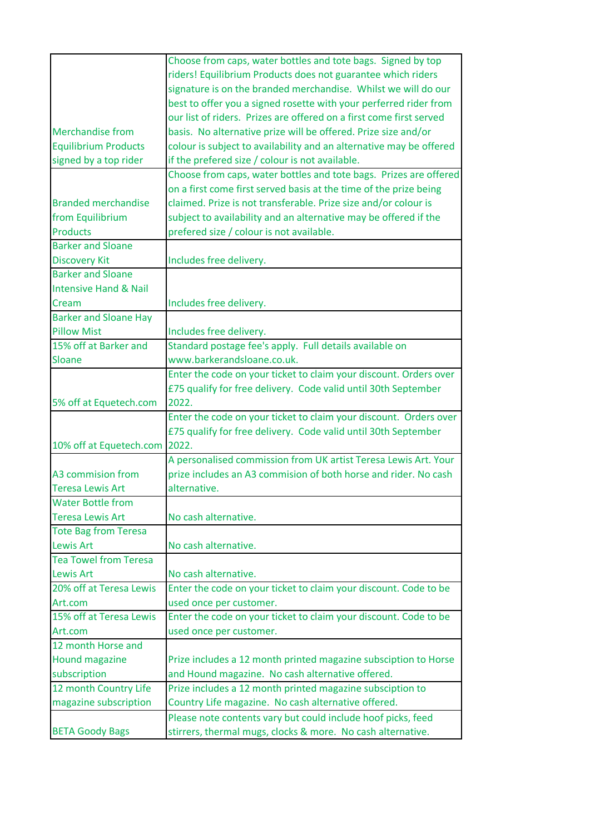|                                  | Choose from caps, water bottles and tote bags. Signed by top        |
|----------------------------------|---------------------------------------------------------------------|
|                                  | riders! Equilibrium Products does not guarantee which riders        |
|                                  | signature is on the branded merchandise. Whilst we will do our      |
|                                  | best to offer you a signed rosette with your perferred rider from   |
|                                  | our list of riders. Prizes are offered on a first come first served |
| <b>Merchandise from</b>          | basis. No alternative prize will be offered. Prize size and/or      |
| <b>Equilibrium Products</b>      | colour is subject to availability and an alternative may be offered |
| signed by a top rider            | if the prefered size / colour is not available.                     |
|                                  | Choose from caps, water bottles and tote bags. Prizes are offered   |
|                                  | on a first come first served basis at the time of the prize being   |
| <b>Branded merchandise</b>       | claimed. Prize is not transferable. Prize size and/or colour is     |
| from Equilibrium                 | subject to availability and an alternative may be offered if the    |
| <b>Products</b>                  | prefered size / colour is not available.                            |
| <b>Barker and Sloane</b>         |                                                                     |
| <b>Discovery Kit</b>             | Includes free delivery.                                             |
| <b>Barker and Sloane</b>         |                                                                     |
| <b>Intensive Hand &amp; Nail</b> |                                                                     |
| Cream                            | Includes free delivery.                                             |
| <b>Barker and Sloane Hay</b>     |                                                                     |
| <b>Pillow Mist</b>               | Includes free delivery.                                             |
| 15% off at Barker and            | Standard postage fee's apply. Full details available on             |
| Sloane                           | www.barkerandsloane.co.uk.                                          |
|                                  | Enter the code on your ticket to claim your discount. Orders over   |
|                                  | £75 qualify for free delivery. Code valid until 30th September      |
| 5% off at Equetech.com           | 2022.                                                               |
|                                  | Enter the code on your ticket to claim your discount. Orders over   |
|                                  | £75 qualify for free delivery. Code valid until 30th September      |
| 10% off at Equetech.com          | 2022.                                                               |
|                                  | A personalised commission from UK artist Teresa Lewis Art. Your     |
| A3 commision from                | prize includes an A3 commision of both horse and rider. No cash     |
| <b>Teresa Lewis Art</b>          | alternative.                                                        |
| <b>Water Bottle from</b>         |                                                                     |
|                                  |                                                                     |
| <b>Teresa Lewis Art</b>          | No cash alternative.                                                |
| <b>Tote Bag from Teresa</b>      |                                                                     |
| <b>Lewis Art</b>                 | No cash alternative.                                                |
| <b>Tea Towel from Teresa</b>     |                                                                     |
| <b>Lewis Art</b>                 | No cash alternative.                                                |
| 20% off at Teresa Lewis          | Enter the code on your ticket to claim your discount. Code to be    |
| Art.com                          | used once per customer.                                             |
| 15% off at Teresa Lewis          | Enter the code on your ticket to claim your discount. Code to be    |
| Art.com                          | used once per customer.                                             |
| 12 month Horse and               |                                                                     |
| <b>Hound magazine</b>            | Prize includes a 12 month printed magazine subsciption to Horse     |
| subscription                     | and Hound magazine. No cash alternative offered.                    |
| 12 month Country Life            | Prize includes a 12 month printed magazine subsciption to           |
| magazine subscription            | Country Life magazine. No cash alternative offered.                 |
|                                  | Please note contents vary but could include hoof picks, feed        |
| <b>BETA Goody Bags</b>           | stirrers, thermal mugs, clocks & more. No cash alternative.         |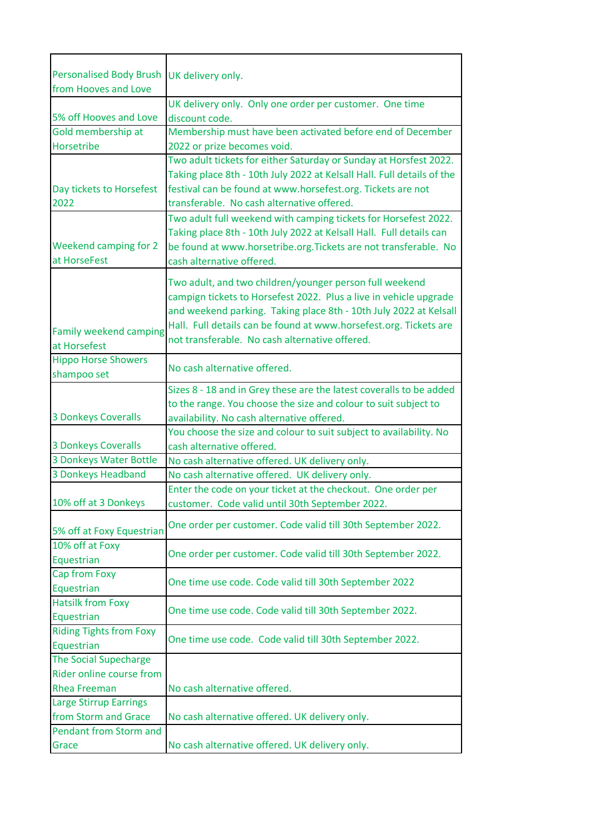| Personalised Body Brush UK delivery only.<br>from Hooves and Love               |                                                                                                                                                                                                                                                                                                                          |
|---------------------------------------------------------------------------------|--------------------------------------------------------------------------------------------------------------------------------------------------------------------------------------------------------------------------------------------------------------------------------------------------------------------------|
| 5% off Hooves and Love                                                          | UK delivery only. Only one order per customer. One time<br>discount code.                                                                                                                                                                                                                                                |
| Gold membership at                                                              | Membership must have been activated before end of December                                                                                                                                                                                                                                                               |
| Horsetribe                                                                      | 2022 or prize becomes void.                                                                                                                                                                                                                                                                                              |
| Day tickets to Horsefest<br>2022                                                | Two adult tickets for either Saturday or Sunday at Horsfest 2022.<br>Taking place 8th - 10th July 2022 at Kelsall Hall. Full details of the<br>festival can be found at www.horsefest.org. Tickets are not<br>transferable. No cash alternative offered.                                                                 |
| Weekend camping for 2<br>at HorseFest                                           | Two adult full weekend with camping tickets for Horsefest 2022.<br>Taking place 8th - 10th July 2022 at Kelsall Hall. Full details can<br>be found at www.horsetribe.org. Tickets are not transferable. No<br>cash alternative offered.                                                                                  |
| <b>Family weekend camping</b><br>at Horsefest                                   | Two adult, and two children/younger person full weekend<br>campign tickets to Horsefest 2022. Plus a live in vehicle upgrade<br>and weekend parking. Taking place 8th - 10th July 2022 at Kelsall<br>Hall. Full details can be found at www.horsefest.org. Tickets are<br>not transferable. No cash alternative offered. |
| <b>Hippo Horse Showers</b><br>shampoo set                                       | No cash alternative offered.                                                                                                                                                                                                                                                                                             |
| <b>3 Donkeys Coveralls</b>                                                      | Sizes 8 - 18 and in Grey these are the latest coveralls to be added<br>to the range. You choose the size and colour to suit subject to<br>availability. No cash alternative offered.                                                                                                                                     |
| <b>3 Donkeys Coveralls</b>                                                      | You choose the size and colour to suit subject to availability. No<br>cash alternative offered.                                                                                                                                                                                                                          |
| 3 Donkeys Water Bottle                                                          | No cash alternative offered. UK delivery only.                                                                                                                                                                                                                                                                           |
| 3 Donkeys Headband                                                              | No cash alternative offered. UK delivery only.                                                                                                                                                                                                                                                                           |
| 10% off at 3 Donkeys                                                            | Enter the code on your ticket at the checkout. One order per<br>customer. Code valid until 30th September 2022.                                                                                                                                                                                                          |
| 5% off at Foxy Equestrian                                                       | One order per customer. Code valid till 30th September 2022.                                                                                                                                                                                                                                                             |
| 10% off at Foxy<br>Equestrian                                                   | One order per customer. Code valid till 30th September 2022.                                                                                                                                                                                                                                                             |
| Cap from Foxy<br>Equestrian                                                     | One time use code. Code valid till 30th September 2022                                                                                                                                                                                                                                                                   |
| <b>Hatsilk from Foxy</b><br>Equestrian                                          | One time use code. Code valid till 30th September 2022.                                                                                                                                                                                                                                                                  |
| <b>Riding Tights from Foxy</b><br>Equestrian                                    | One time use code. Code valid till 30th September 2022.                                                                                                                                                                                                                                                                  |
| <b>The Social Supecharge</b><br>Rider online course from<br><b>Rhea Freeman</b> | No cash alternative offered.                                                                                                                                                                                                                                                                                             |
|                                                                                 |                                                                                                                                                                                                                                                                                                                          |
| <b>Large Stirrup Earrings</b><br>from Storm and Grace                           | No cash alternative offered. UK delivery only.                                                                                                                                                                                                                                                                           |
| <b>Pendant from Storm and</b><br>Grace                                          | No cash alternative offered. UK delivery only.                                                                                                                                                                                                                                                                           |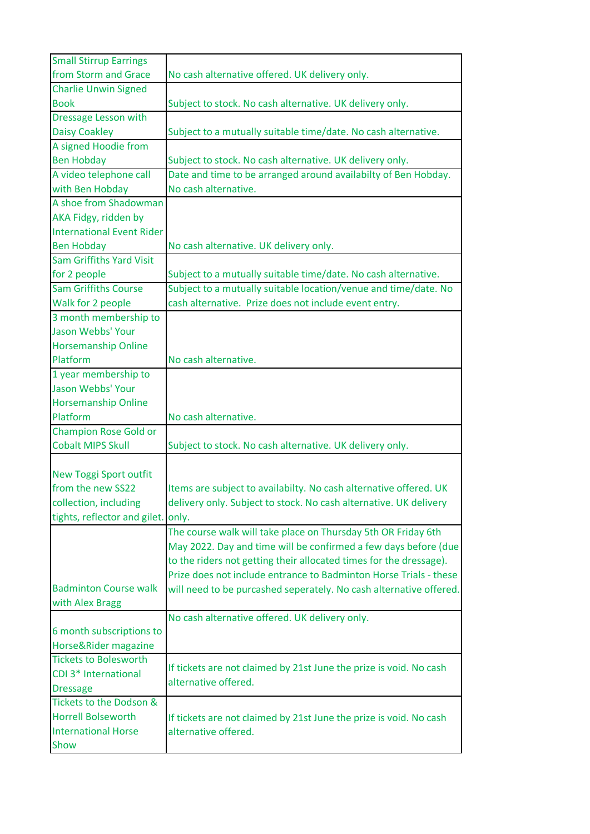| <b>Small Stirrup Earrings</b>          |                                                                    |
|----------------------------------------|--------------------------------------------------------------------|
| from Storm and Grace                   | No cash alternative offered. UK delivery only.                     |
| <b>Charlie Unwin Signed</b>            |                                                                    |
| <b>Book</b>                            | Subject to stock. No cash alternative. UK delivery only.           |
| Dressage Lesson with                   |                                                                    |
| <b>Daisy Coakley</b>                   | Subject to a mutually suitable time/date. No cash alternative.     |
| A signed Hoodie from                   |                                                                    |
| <b>Ben Hobday</b>                      | Subject to stock. No cash alternative. UK delivery only.           |
| A video telephone call                 | Date and time to be arranged around availabilty of Ben Hobday.     |
| with Ben Hobday                        | No cash alternative.                                               |
| A shoe from Shadowman                  |                                                                    |
| AKA Fidgy, ridden by                   |                                                                    |
| <b>International Event Rider</b>       |                                                                    |
| <b>Ben Hobday</b>                      | No cash alternative. UK delivery only.                             |
| <b>Sam Griffiths Yard Visit</b>        |                                                                    |
| for 2 people                           | Subject to a mutually suitable time/date. No cash alternative.     |
| <b>Sam Griffiths Course</b>            | Subject to a mutually suitable location/venue and time/date. No    |
| Walk for 2 people                      | cash alternative. Prize does not include event entry.              |
| 3 month membership to                  |                                                                    |
| <b>Jason Webbs' Your</b>               |                                                                    |
| <b>Horsemanship Online</b>             |                                                                    |
| Platform                               | No cash alternative.                                               |
| 1 year membership to                   |                                                                    |
| Jason Webbs' Your                      |                                                                    |
| <b>Horsemanship Online</b><br>Platform | No cash alternative.                                               |
| <b>Champion Rose Gold or</b>           |                                                                    |
| <b>Cobalt MIPS Skull</b>               | Subject to stock. No cash alternative. UK delivery only.           |
|                                        |                                                                    |
| <b>New Toggi Sport outfit</b>          |                                                                    |
| from the new SS22                      | Items are subject to availabilty. No cash alternative offered. UK  |
| collection, including                  | delivery only. Subject to stock. No cash alternative. UK delivery  |
| tights, reflector and gilet. only.     |                                                                    |
|                                        | The course walk will take place on Thursday 5th OR Friday 6th      |
|                                        | May 2022. Day and time will be confirmed a few days before (due    |
|                                        | to the riders not getting their allocated times for the dressage). |
|                                        | Prize does not include entrance to Badminton Horse Trials - these  |
| <b>Badminton Course walk</b>           | will need to be purcashed seperately. No cash alternative offered. |
| with Alex Bragg                        |                                                                    |
|                                        | No cash alternative offered. UK delivery only.                     |
| 6 month subscriptions to               |                                                                    |
| Horse&Rider magazine                   |                                                                    |
| <b>Tickets to Bolesworth</b>           |                                                                    |
| CDI 3* International                   | If tickets are not claimed by 21st June the prize is void. No cash |
| <b>Dressage</b>                        | alternative offered.                                               |
| Tickets to the Dodson &                |                                                                    |
| <b>Horrell Bolseworth</b>              | If tickets are not claimed by 21st June the prize is void. No cash |
| <b>International Horse</b>             | alternative offered.                                               |
| Show                                   |                                                                    |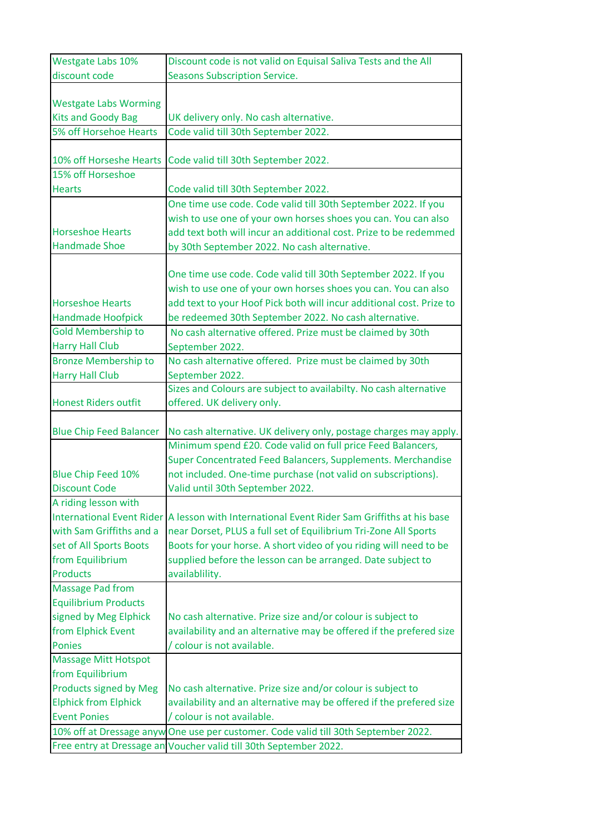| Westgate Labs 10%              | Discount code is not valid on Equisal Saliva Tests and the All                              |
|--------------------------------|---------------------------------------------------------------------------------------------|
| discount code                  | <b>Seasons Subscription Service.</b>                                                        |
|                                |                                                                                             |
| <b>Westgate Labs Worming</b>   |                                                                                             |
| <b>Kits and Goody Bag</b>      | UK delivery only. No cash alternative.                                                      |
| 5% off Horsehoe Hearts         | Code valid till 30th September 2022.                                                        |
|                                |                                                                                             |
| 10% off Horseshe Hearts        | Code valid till 30th September 2022.                                                        |
| 15% off Horseshoe              |                                                                                             |
| <b>Hearts</b>                  | Code valid till 30th September 2022.                                                        |
|                                | One time use code. Code valid till 30th September 2022. If you                              |
|                                | wish to use one of your own horses shoes you can. You can also                              |
| <b>Horseshoe Hearts</b>        | add text both will incur an additional cost. Prize to be redemmed                           |
| <b>Handmade Shoe</b>           | by 30th September 2022. No cash alternative.                                                |
|                                |                                                                                             |
|                                | One time use code. Code valid till 30th September 2022. If you                              |
|                                | wish to use one of your own horses shoes you can. You can also                              |
| <b>Horseshoe Hearts</b>        | add text to your Hoof Pick both will incur additional cost. Prize to                        |
| <b>Handmade Hoofpick</b>       | be redeemed 30th September 2022. No cash alternative.                                       |
| <b>Gold Membership to</b>      | No cash alternative offered. Prize must be claimed by 30th                                  |
| <b>Harry Hall Club</b>         | September 2022.                                                                             |
| <b>Bronze Membership to</b>    | No cash alternative offered. Prize must be claimed by 30th                                  |
| <b>Harry Hall Club</b>         | September 2022.                                                                             |
|                                | Sizes and Colours are subject to availabilty. No cash alternative                           |
| <b>Honest Riders outfit</b>    | offered. UK delivery only.                                                                  |
|                                |                                                                                             |
| <b>Blue Chip Feed Balancer</b> | No cash alternative. UK delivery only, postage charges may apply.                           |
|                                | Minimum spend £20. Code valid on full price Feed Balancers,                                 |
|                                | Super Concentrated Feed Balancers, Supplements. Merchandise                                 |
| <b>Blue Chip Feed 10%</b>      | not included. One-time purchase (not valid on subscriptions).                               |
| <b>Discount Code</b>           | Valid until 30th September 2022.                                                            |
| A riding lesson with           |                                                                                             |
|                                | International Event Rider A lesson with International Event Rider Sam Griffiths at his base |
| with Sam Griffiths and a       | near Dorset, PLUS a full set of Equilibrium Tri-Zone All Sports                             |
| set of All Sports Boots        | Boots for your horse. A short video of you riding will need to be                           |
| from Equilibrium               | supplied before the lesson can be arranged. Date subject to                                 |
| <b>Products</b>                | availablility.                                                                              |
| <b>Massage Pad from</b>        |                                                                                             |
| <b>Equilibrium Products</b>    |                                                                                             |
| signed by Meg Elphick          | No cash alternative. Prize size and/or colour is subject to                                 |
| from Elphick Event             | availability and an alternative may be offered if the prefered size                         |
| <b>Ponies</b>                  | / colour is not available.                                                                  |
| <b>Massage Mitt Hotspot</b>    |                                                                                             |
| from Equilibrium               |                                                                                             |
| Products signed by Meg         | No cash alternative. Prize size and/or colour is subject to                                 |
| <b>Elphick from Elphick</b>    | availability and an alternative may be offered if the prefered size                         |
| <b>Event Ponies</b>            | / colour is not available.                                                                  |
|                                | 10% off at Dressage anyw One use per customer. Code valid till 30th September 2022.         |
|                                | Free entry at Dressage an Voucher valid till 30th September 2022.                           |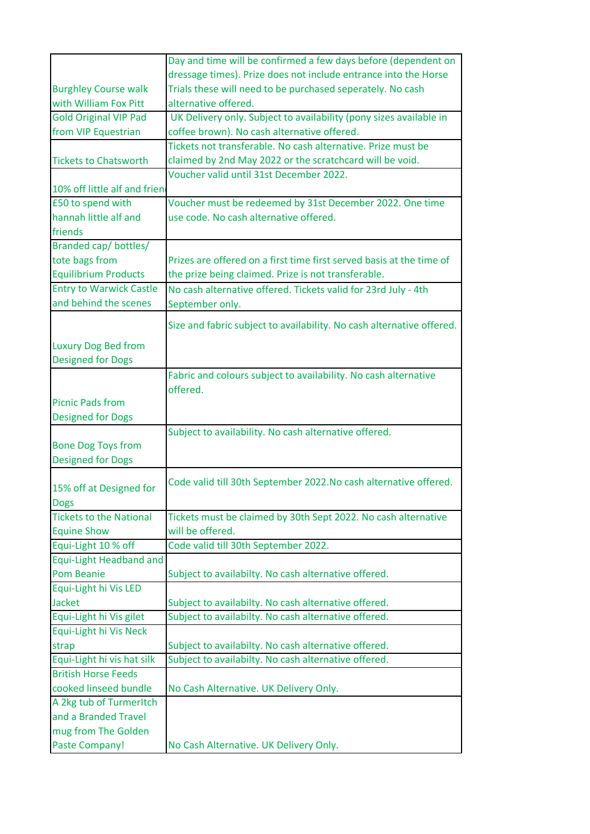|                                                   | Day and time will be confirmed a few days before (dependent on                                               |
|---------------------------------------------------|--------------------------------------------------------------------------------------------------------------|
|                                                   | dressage times). Prize does not include entrance into the Horse                                              |
| <b>Burghley Course walk</b>                       | Trials these will need to be purchased seperately. No cash                                                   |
| with William Fox Pitt                             | alternative offered.                                                                                         |
| <b>Gold Original VIP Pad</b>                      | UK Delivery only. Subject to availability (pony sizes available in                                           |
| from VIP Equestrian                               | coffee brown). No cash alternative offered.                                                                  |
|                                                   | Tickets not transferable. No cash alternative. Prize must be                                                 |
| <b>Tickets to Chatsworth</b>                      | claimed by 2nd May 2022 or the scratchcard will be void.                                                     |
|                                                   | Voucher valid until 31st December 2022.                                                                      |
| 10% off little alf and frien                      |                                                                                                              |
| £50 to spend with                                 | Voucher must be redeemed by 31st December 2022. One time                                                     |
| hannah little alf and                             | use code. No cash alternative offered.                                                                       |
| friends                                           |                                                                                                              |
| Branded cap/ bottles/                             |                                                                                                              |
| tote bags from                                    | Prizes are offered on a first time first served basis at the time of                                         |
| <b>Equilibrium Products</b>                       | the prize being claimed. Prize is not transferable.                                                          |
| <b>Entry to Warwick Castle</b>                    | No cash alternative offered. Tickets valid for 23rd July - 4th                                               |
| and behind the scenes                             | September only.                                                                                              |
|                                                   | Size and fabric subject to availability. No cash alternative offered.                                        |
|                                                   |                                                                                                              |
| <b>Luxury Dog Bed from</b>                        |                                                                                                              |
| <b>Designed for Dogs</b>                          |                                                                                                              |
|                                                   | Fabric and colours subject to availability. No cash alternative                                              |
|                                                   | offered.                                                                                                     |
| <b>Picnic Pads from</b>                           |                                                                                                              |
| <b>Designed for Dogs</b>                          |                                                                                                              |
|                                                   | Subject to availability. No cash alternative offered.                                                        |
| <b>Bone Dog Toys from</b>                         |                                                                                                              |
| <b>Designed for Dogs</b>                          |                                                                                                              |
|                                                   | Code valid till 30th September 2022. No cash alternative offered.                                            |
| 15% off at Designed for                           |                                                                                                              |
| <b>Dogs</b>                                       |                                                                                                              |
| <b>Tickets to the National</b>                    | Tickets must be claimed by 30th Sept 2022. No cash alternative                                               |
| <b>Equine Show</b>                                | will be offered.                                                                                             |
| Equi-Light 10 % off                               | Code valid till 30th September 2022.                                                                         |
| <b>Equi-Light Headband and</b>                    |                                                                                                              |
| <b>Pom Beanie</b>                                 | Subject to availabilty. No cash alternative offered.                                                         |
| Equi-Light hi Vis LED                             |                                                                                                              |
| <b>Jacket</b>                                     | Subject to availabilty. No cash alternative offered.                                                         |
| Equi-Light hi Vis gilet<br>Equi-Light hi Vis Neck | Subject to availabilty. No cash alternative offered.                                                         |
|                                                   |                                                                                                              |
| strap<br>Equi-Light hi vis hat silk               | Subject to availabilty. No cash alternative offered.<br>Subject to availabilty. No cash alternative offered. |
| <b>British Horse Feeds</b>                        |                                                                                                              |
|                                                   |                                                                                                              |
| cooked linseed bundle<br>A 2kg tub of TurmerItch  | No Cash Alternative. UK Delivery Only.                                                                       |
| and a Branded Travel                              |                                                                                                              |
|                                                   |                                                                                                              |
| mug from The Golden                               |                                                                                                              |
| <b>Paste Company!</b>                             | No Cash Alternative. UK Delivery Only.                                                                       |